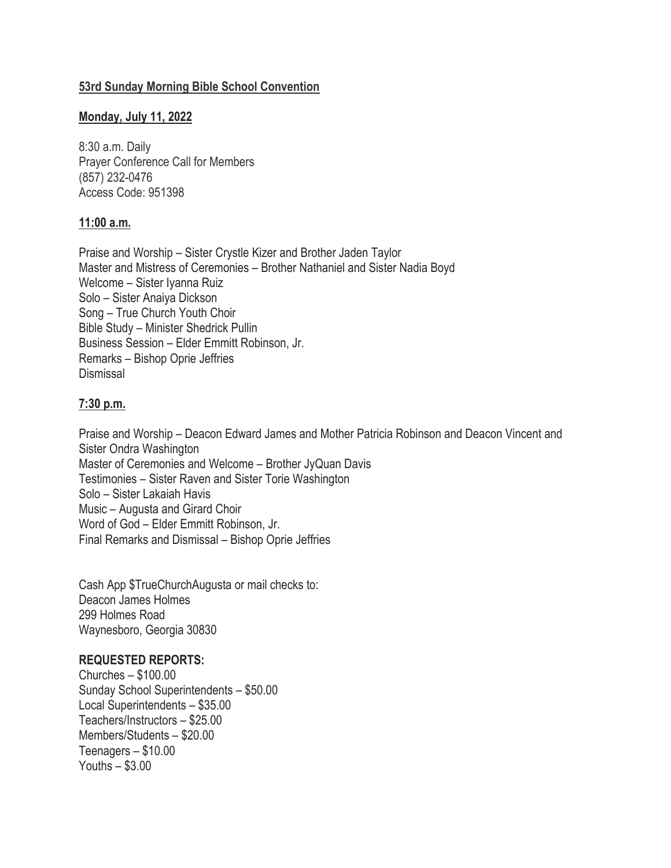# **53rd Sunday Morning Bible School Convention**

## **Monday, July 11, 2022**

8:30 a.m. Daily Prayer Conference Call for Members (857) 232-0476 Access Code: 951398

# **11:00 a.m.**

Praise and Worship – Sister Crystle Kizer and Brother Jaden Taylor Master and Mistress of Ceremonies – Brother Nathaniel and Sister Nadia Boyd Welcome – Sister Iyanna Ruiz Solo – Sister Anaiya Dickson Song – True Church Youth Choir Bible Study – Minister Shedrick Pullin Business Session – Elder Emmitt Robinson, Jr. Remarks – Bishop Oprie Jeffries Dismissal

## **7:30 p.m.**

Praise and Worship – Deacon Edward James and Mother Patricia Robinson and Deacon Vincent and Sister Ondra Washington Master of Ceremonies and Welcome – Brother JyQuan Davis Testimonies – Sister Raven and Sister Torie Washington Solo – Sister Lakaiah Havis Music – Augusta and Girard Choir Word of God – Elder Emmitt Robinson, Jr. Final Remarks and Dismissal – Bishop Oprie Jeffries

Cash App \$TrueChurchAugusta or mail checks to: Deacon James Holmes 299 Holmes Road Waynesboro, Georgia 30830

# **REQUESTED REPORTS:**

Churches – \$100.00 Sunday School Superintendents – \$50.00 Local Superintendents – \$35.00 Teachers/Instructors – \$25.00 Members/Students – \$20.00 Teenagers – \$10.00 Youths – \$3.00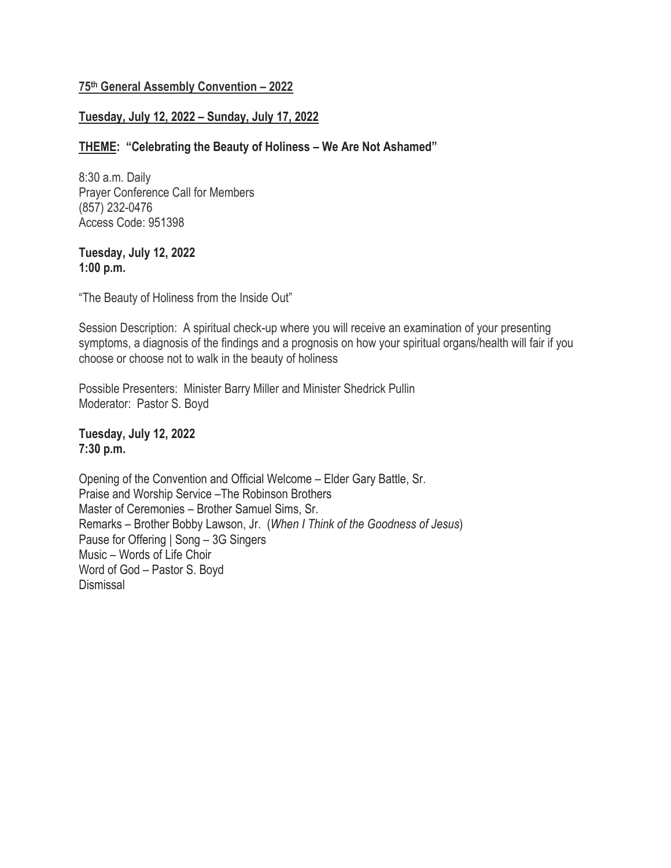## **75th General Assembly Convention – 2022**

## **Tuesday, July 12, 2022 – Sunday, July 17, 2022**

## **THEME: "Celebrating the Beauty of Holiness – We Are Not Ashamed"**

8:30 a.m. Daily Prayer Conference Call for Members (857) 232-0476 Access Code: 951398

#### **Tuesday, July 12, 2022 1:00 p.m.**

"The Beauty of Holiness from the Inside Out"

Session Description: A spiritual check-up where you will receive an examination of your presenting symptoms, a diagnosis of the findings and a prognosis on how your spiritual organs/health will fair if you choose or choose not to walk in the beauty of holiness

Possible Presenters: Minister Barry Miller and Minister Shedrick Pullin Moderator: Pastor S. Boyd

**Tuesday, July 12, 2022 7:30 p.m.**

Opening of the Convention and Official Welcome – Elder Gary Battle, Sr. Praise and Worship Service –The Robinson Brothers Master of Ceremonies – Brother Samuel Sims, Sr. Remarks – Brother Bobby Lawson, Jr. (*When I Think of the Goodness of Jesus*) Pause for Offering | Song – 3G Singers Music – Words of Life Choir Word of God – Pastor S. Boyd Dismissal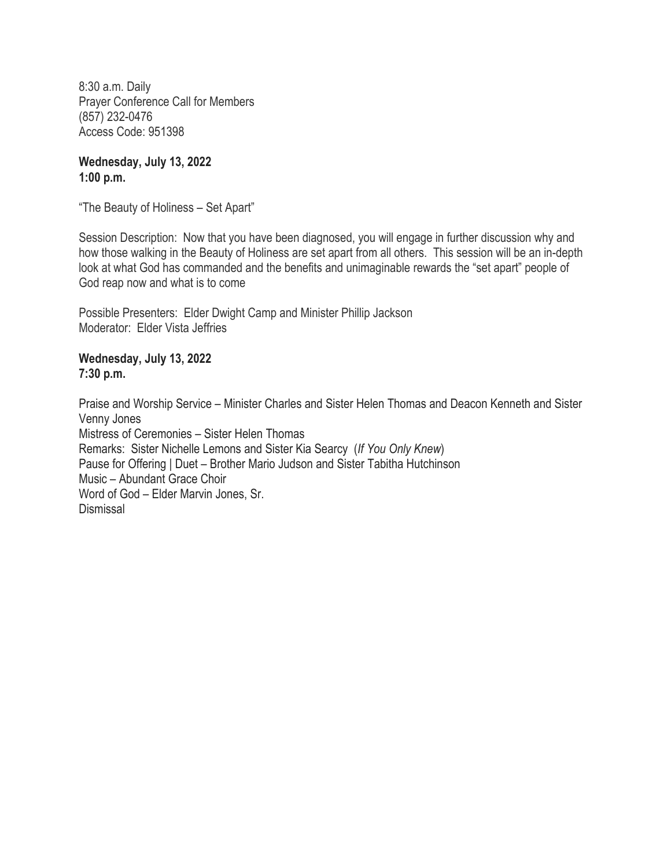**Wednesday, July 13, 2022 1:00 p.m.**

"The Beauty of Holiness – Set Apart"

Session Description: Now that you have been diagnosed, you will engage in further discussion why and how those walking in the Beauty of Holiness are set apart from all others. This session will be an in-depth look at what God has commanded and the benefits and unimaginable rewards the "set apart" people of God reap now and what is to come

Possible Presenters: Elder Dwight Camp and Minister Phillip Jackson Moderator: Elder Vista Jeffries

**Wednesday, July 13, 2022 7:30 p.m.**

Praise and Worship Service – Minister Charles and Sister Helen Thomas and Deacon Kenneth and Sister Venny Jones Mistress of Ceremonies – Sister Helen Thomas Remarks: Sister Nichelle Lemons and Sister Kia Searcy (*If You Only Knew*) Pause for Offering | Duet – Brother Mario Judson and Sister Tabitha Hutchinson Music – Abundant Grace Choir Word of God – Elder Marvin Jones, Sr. Dismissal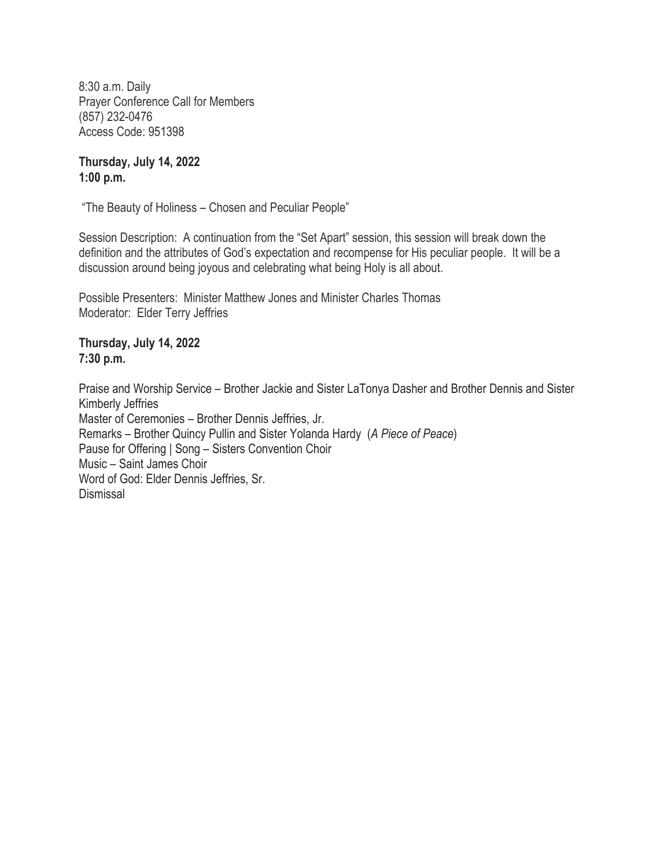**Thursday, July 14, 2022 1:00 p.m.**

"The Beauty of Holiness – Chosen and Peculiar People"

Session Description: A continuation from the "Set Apart" session, this session will break down the definition and the attributes of God's expectation and recompense for His peculiar people. It will be a discussion around being joyous and celebrating what being Holy is all about.

Possible Presenters: Minister Matthew Jones and Minister Charles Thomas Moderator: Elder Terry Jeffries

**Thursday, July 14, 2022 7:30 p.m.**

Praise and Worship Service – Brother Jackie and Sister LaTonya Dasher and Brother Dennis and Sister Kimberly Jeffries Master of Ceremonies – Brother Dennis Jeffries, Jr. Remarks – Brother Quincy Pullin and Sister Yolanda Hardy (*A Piece of Peace*) Pause for Offering | Song – Sisters Convention Choir Music – Saint James Choir Word of God: Elder Dennis Jeffries, Sr. Dismissal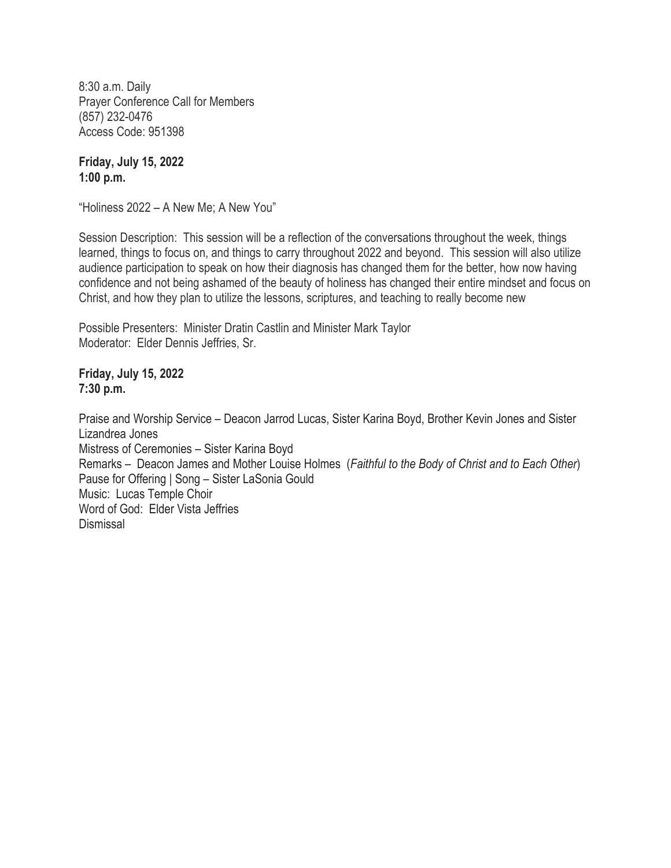**Friday, July 15, 2022 1:00 p.m.**

"Holiness 2022 – A New Me; A New You"

Session Description: This session will be a reflection of the conversations throughout the week, things learned, things to focus on, and things to carry throughout 2022 and beyond. This session will also utilize audience participation to speak on how their diagnosis has changed them for the better, how now having confidence and not being ashamed of the beauty of holiness has changed their entire mindset and focus on Christ, and how they plan to utilize the lessons, scriptures, and teaching to really become new

Possible Presenters: Minister Dratin Castlin and Minister Mark Taylor Moderator: Elder Dennis Jeffries, Sr.

**Friday, July 15, 2022 7:30 p.m.**

Praise and Worship Service – Deacon Jarrod Lucas, Sister Karina Boyd, Brother Kevin Jones and Sister Lizandrea Jones Mistress of Ceremonies – Sister Karina Boyd Remarks – Deacon James and Mother Louise Holmes (*Faithful to the Body of Christ and to Each Other*) Pause for Offering | Song – Sister LaSonia Gould Music: Lucas Temple Choir Word of God: Elder Vista Jeffries Dismissal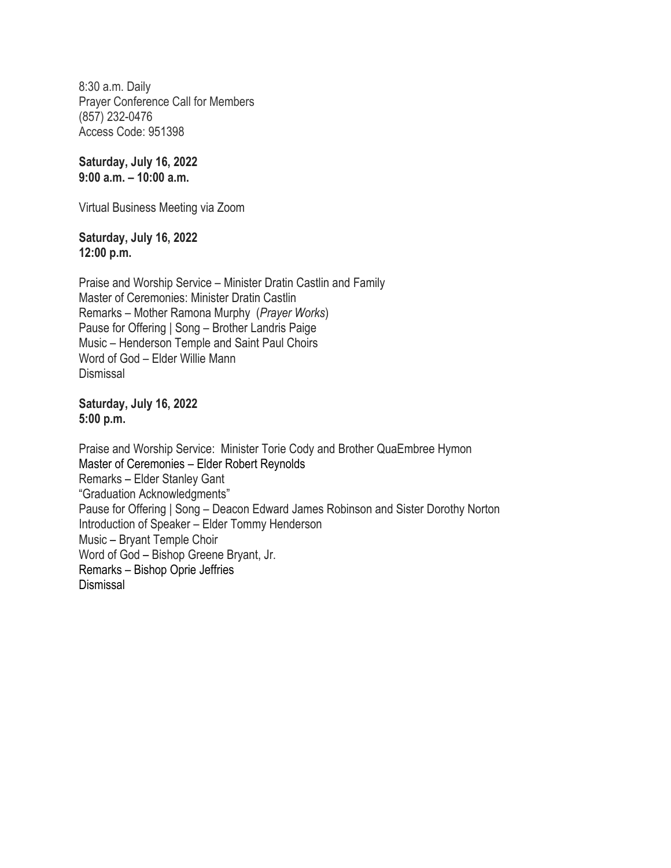**Saturday, July 16, 2022 9:00 a.m. – 10:00 a.m.**

Virtual Business Meeting via Zoom

**Saturday, July 16, 2022 12:00 p.m.**

Praise and Worship Service – Minister Dratin Castlin and Family Master of Ceremonies: Minister Dratin Castlin Remarks – Mother Ramona Murphy (*Prayer Works*) Pause for Offering | Song – Brother Landris Paige Music – Henderson Temple and Saint Paul Choirs Word of God – Elder Willie Mann Dismissal

**Saturday, July 16, 2022 5:00 p.m.**

Praise and Worship Service: Minister Torie Cody and Brother QuaEmbree Hymon Master of Ceremonies – Elder Robert Reynolds Remarks – Elder Stanley Gant "Graduation Acknowledgments" Pause for Offering | Song – Deacon Edward James Robinson and Sister Dorothy Norton Introduction of Speaker – Elder Tommy Henderson Music – Bryant Temple Choir Word of God – Bishop Greene Bryant, Jr. Remarks – Bishop Oprie Jeffries Dismissal